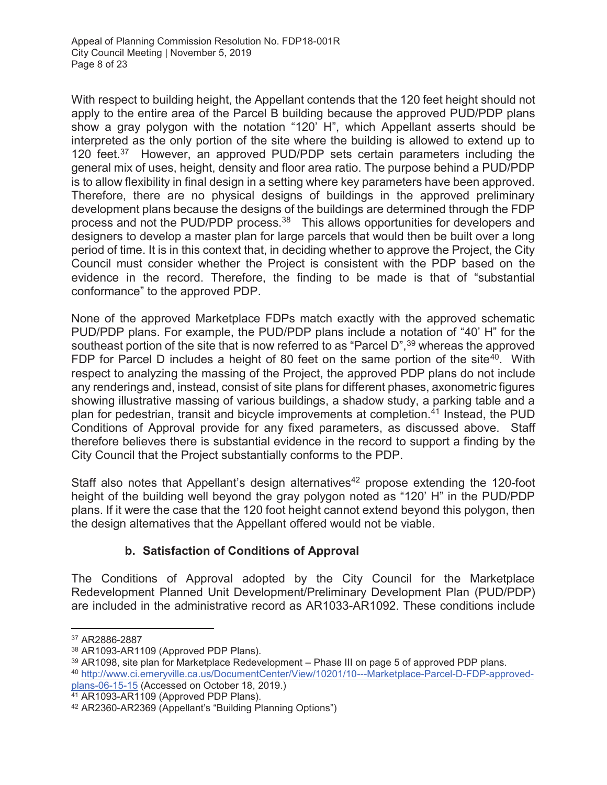With respect to building height, the Appellant contends that the 120 feet height should not apply to the entire area of the Parcel B building because the approved PUD/PDP plans show a gray polygon with the notation "120' H", which Appellant asserts should be interpreted as the only portion of the site where the building is allowed to extend up to 120 feet.<sup>37</sup> However, an approved PUD/PDP sets certain parameters including the general mix of uses, height, density and floor area ratio. The purpose behind a PUD/PDP is to allow flexibility in final design in a setting where key parameters have been approved. Therefore, there are no physical designs of buildings in the approved preliminary development plans because the designs of the buildings are determined through the FDP process and not the PUD/PDP process.38 This allows opportunities for developers and designers to develop a master plan for large parcels that would then be built over a long period of time. It is in this context that, in deciding whether to approve the Project, the City Council must consider whether the Project is consistent with the PDP based on the evidence in the record. Therefore, the finding to be made is that of "substantial conformance" to the approved PDP.

None of the approved Marketplace FDPs match exactly with the approved schematic PUD/PDP plans. For example, the PUD/PDP plans include a notation of "40' H" for the southeast portion of the site that is now referred to as "Parcel D",<sup>39</sup> whereas the approved FDP for Parcel D includes a height of 80 feet on the same portion of the site<sup>40</sup>. With respect to analyzing the massing of the Project, the approved PDP plans do not include any renderings and, instead, consist of site plans for different phases, axonometric figures showing illustrative massing of various buildings, a shadow study, a parking table and a plan for pedestrian, transit and bicycle improvements at completion.<sup>41</sup> Instead, the PUD Conditions of Approval provide for any fixed parameters, as discussed above. Staff therefore believes there is substantial evidence in the record to support a finding by the City Council that the Project substantially conforms to the PDP.

Staff also notes that Appellant's design alternatives<sup>42</sup> propose extending the 120-foot height of the building well beyond the gray polygon noted as "120' H" in the PUD/PDP plans. If it were the case that the 120 foot height cannot extend beyond this polygon, then the design alternatives that the Appellant offered would not be viable.

# **b. Satisfaction of Conditions of Approval**

The Conditions of Approval adopted by the City Council for the Marketplace Redevelopment Planned Unit Development/Preliminary Development Plan (PUD/PDP) are included in the administrative record as AR1033-AR1092. These conditions include

 $\overline{a}$ 

plans-06-15-15 (Accessed on October 18, 2019.)

<sup>37</sup> AR2886-2887

<sup>38</sup> AR1093-AR1109 (Approved PDP Plans).

<sup>39</sup> AR1098, site plan for Marketplace Redevelopment – Phase III on page 5 of approved PDP plans. <sup>40</sup> http://www.ci.emeryville.ca.us/DocumentCenter/View/10201/10---Marketplace-Parcel-D-FDP-approved-

<sup>41</sup> AR1093-AR1109 (Approved PDP Plans).

<sup>42</sup> AR2360-AR2369 (Appellant's "Building Planning Options")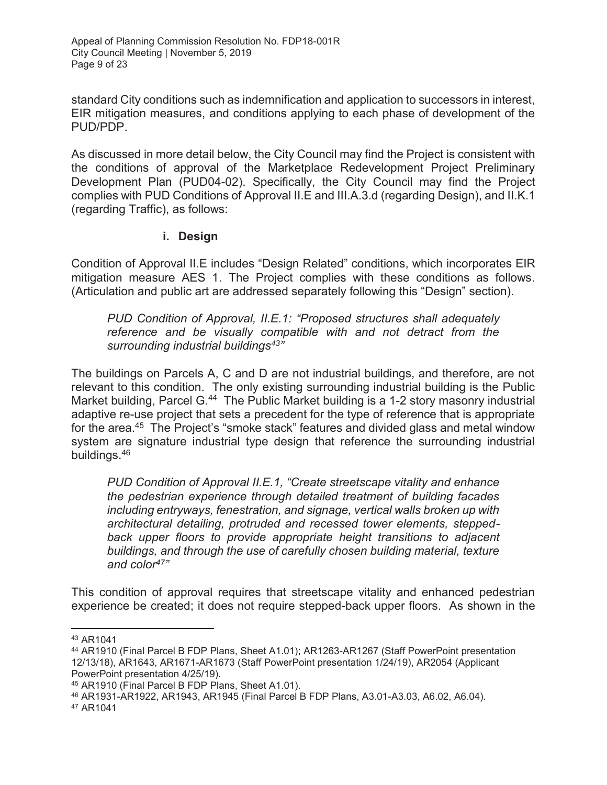standard City conditions such as indemnification and application to successors in interest, EIR mitigation measures, and conditions applying to each phase of development of the PUD/PDP.

As discussed in more detail below, the City Council may find the Project is consistent with the conditions of approval of the Marketplace Redevelopment Project Preliminary Development Plan (PUD04-02). Specifically, the City Council may find the Project complies with PUD Conditions of Approval II.E and III.A.3.d (regarding Design), and II.K.1 (regarding Traffic), as follows:

## **i. Design**

Condition of Approval II.E includes "Design Related" conditions, which incorporates EIR mitigation measure AES 1. The Project complies with these conditions as follows. (Articulation and public art are addressed separately following this "Design" section).

*PUD Condition of Approval, II.E.1: "Proposed structures shall adequately reference and be visually compatible with and not detract from the surrounding industrial buildings43"*

The buildings on Parcels A, C and D are not industrial buildings, and therefore, are not relevant to this condition. The only existing surrounding industrial building is the Public Market building, Parcel G.<sup>44</sup> The Public Market building is a 1-2 story masonry industrial adaptive re-use project that sets a precedent for the type of reference that is appropriate for the area.<sup>45</sup> The Project's "smoke stack" features and divided glass and metal window system are signature industrial type design that reference the surrounding industrial buildings. 46

*PUD Condition of Approval II.E.1, "Create streetscape vitality and enhance the pedestrian experience through detailed treatment of building facades including entryways, fenestration, and signage, vertical walls broken up with architectural detailing, protruded and recessed tower elements, stepped*back upper floors to provide appropriate height transitions to adjacent *buildings, and through the use of carefully chosen building material, texture and color47"* 

This condition of approval requires that streetscape vitality and enhanced pedestrian experience be created; it does not require stepped-back upper floors. As shown in the

<sup>43</sup> AR1041

<sup>44</sup> AR1910 (Final Parcel B FDP Plans, Sheet A1.01); AR1263-AR1267 (Staff PowerPoint presentation 12/13/18), AR1643, AR1671-AR1673 (Staff PowerPoint presentation 1/24/19), AR2054 (Applicant PowerPoint presentation 4/25/19).

<sup>45</sup> AR1910 (Final Parcel B FDP Plans, Sheet A1.01).

<sup>46</sup> AR1931-AR1922, AR1943, AR1945 (Final Parcel B FDP Plans, A3.01-A3.03, A6.02, A6.04).

<sup>47</sup> AR1041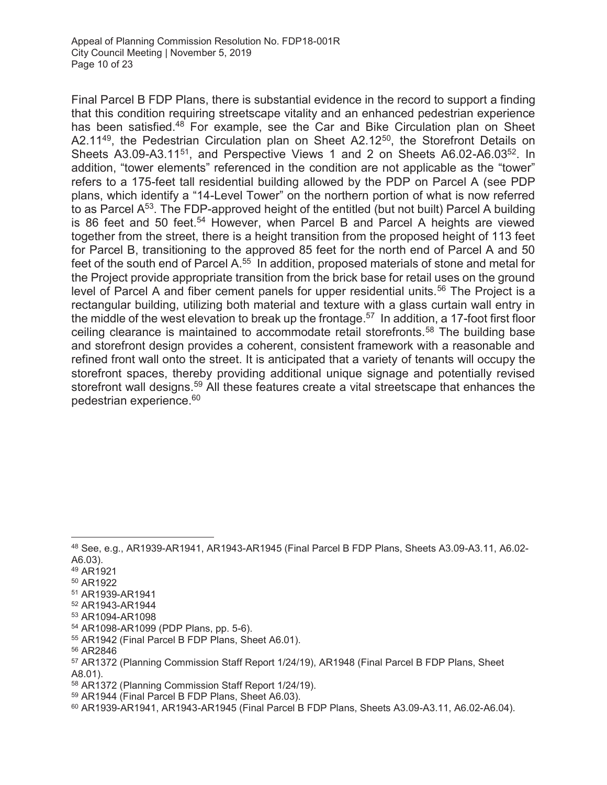Final Parcel B FDP Plans, there is substantial evidence in the record to support a finding that this condition requiring streetscape vitality and an enhanced pedestrian experience has been satisfied.<sup>48</sup> For example, see the Car and Bike Circulation plan on Sheet A2.11<sup>49</sup>, the Pedestrian Circulation plan on Sheet A2.12<sup>50</sup>, the Storefront Details on Sheets A3.09-A3.11<sup>51</sup>, and Perspective Views 1 and 2 on Sheets A6.02-A6.03<sup>52</sup>. In addition, "tower elements" referenced in the condition are not applicable as the "tower" refers to a 175-feet tall residential building allowed by the PDP on Parcel A (see PDP plans, which identify a "14-Level Tower" on the northern portion of what is now referred to as Parcel A<sup>53</sup>. The FDP-approved height of the entitled (but not built) Parcel A building is 86 feet and 50 feet.<sup>54</sup> However, when Parcel B and Parcel A heights are viewed together from the street, there is a height transition from the proposed height of 113 feet for Parcel B, transitioning to the approved 85 feet for the north end of Parcel A and 50 feet of the south end of Parcel  $A<sub>55</sub>$  In addition, proposed materials of stone and metal for the Project provide appropriate transition from the brick base for retail uses on the ground level of Parcel A and fiber cement panels for upper residential units.<sup>56</sup> The Project is a rectangular building, utilizing both material and texture with a glass curtain wall entry in the middle of the west elevation to break up the frontage.<sup>57</sup> In addition, a 17-foot first floor ceiling clearance is maintained to accommodate retail storefronts.<sup>58</sup> The building base and storefront design provides a coherent, consistent framework with a reasonable and refined front wall onto the street. It is anticipated that a variety of tenants will occupy the storefront spaces, thereby providing additional unique signage and potentially revised storefront wall designs.<sup>59</sup> All these features create a vital streetscape that enhances the pedestrian experience.60

51 AR1939-AR1941

56 AR2846

 $\overline{a}$ 48 See, e.g., AR1939-AR1941, AR1943-AR1945 (Final Parcel B FDP Plans, Sheets A3.09-A3.11, A6.02- A6.03).

<sup>49</sup> AR1921

<sup>50</sup> AR1922

<sup>52</sup> AR1943-AR1944

<sup>53</sup> AR1094-AR1098

<sup>54</sup> AR1098-AR1099 (PDP Plans, pp. 5-6).

<sup>55</sup> AR1942 (Final Parcel B FDP Plans, Sheet A6.01).

<sup>57</sup> AR1372 (Planning Commission Staff Report 1/24/19), AR1948 (Final Parcel B FDP Plans, Sheet A8.01).

<sup>58</sup> AR1372 (Planning Commission Staff Report 1/24/19).

<sup>59</sup> AR1944 (Final Parcel B FDP Plans, Sheet A6.03).

<sup>60</sup> AR1939-AR1941, AR1943-AR1945 (Final Parcel B FDP Plans, Sheets A3.09-A3.11, A6.02-A6.04).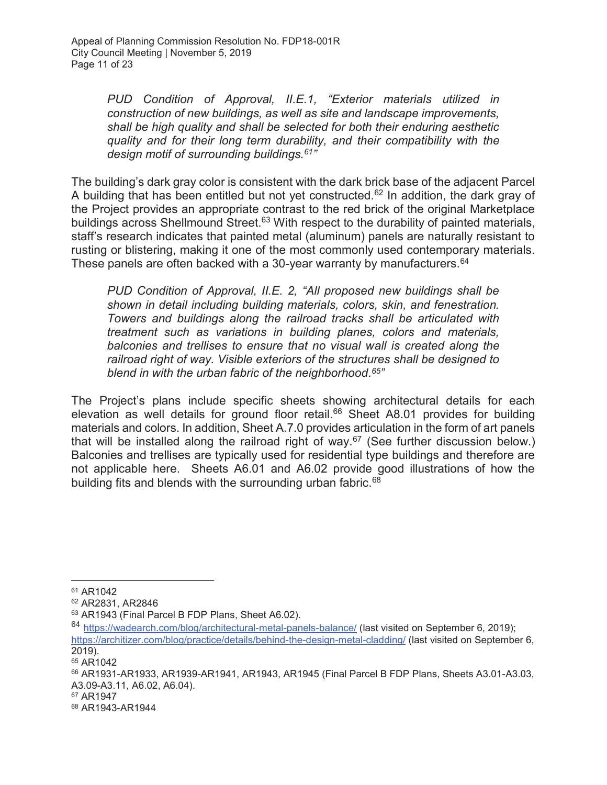*PUD Condition of Approval, II.E.1, "Exterior materials utilized in construction of new buildings, as well as site and landscape improvements, shall be high quality and shall be selected for both their enduring aesthetic quality and for their long term durability, and their compatibility with the design motif of surrounding buildings.61"* 

The building's dark gray color is consistent with the dark brick base of the adjacent Parcel A building that has been entitled but not yet constructed.<sup>62</sup> In addition, the dark gray of the Project provides an appropriate contrast to the red brick of the original Marketplace buildings across Shellmound Street.<sup>63</sup> With respect to the durability of painted materials, staff's research indicates that painted metal (aluminum) panels are naturally resistant to rusting or blistering, making it one of the most commonly used contemporary materials. These panels are often backed with a 30-year warranty by manufacturers.<sup>64</sup>

*PUD Condition of Approval, II.E. 2, "All proposed new buildings shall be shown in detail including building materials, colors, skin, and fenestration. Towers and buildings along the railroad tracks shall be articulated with treatment such as variations in building planes, colors and materials, balconies and trellises to ensure that no visual wall is created along the railroad right of way. Visible exteriors of the structures shall be designed to blend in with the urban fabric of the neighborhood.65"* 

The Project's plans include specific sheets showing architectural details for each elevation as well details for ground floor retail.<sup>66</sup> Sheet A8.01 provides for building materials and colors. In addition, Sheet A.7.0 provides articulation in the form of art panels that will be installed along the railroad right of way.<sup>67</sup> (See further discussion below.) Balconies and trellises are typically used for residential type buildings and therefore are not applicable here. Sheets A6.01 and A6.02 provide good illustrations of how the building fits and blends with the surrounding urban fabric.<sup>68</sup>

64 https://wadearch.com/blog/architectural-metal-panels-balance/ (last visited on September 6, 2019); https://architizer.com/blog/practice/details/behind-the-design-metal-cladding/ (last visited on September 6, 2019).

67 AR1947

 $\overline{a}$ 61 AR1042

<sup>62</sup> AR2831, AR2846

<sup>63</sup> AR1943 (Final Parcel B FDP Plans, Sheet A6.02).

<sup>65</sup> AR1042

<sup>66</sup> AR1931-AR1933, AR1939-AR1941, AR1943, AR1945 (Final Parcel B FDP Plans, Sheets A3.01-A3.03, A3.09-A3.11, A6.02, A6.04).

<sup>68</sup> AR1943-AR1944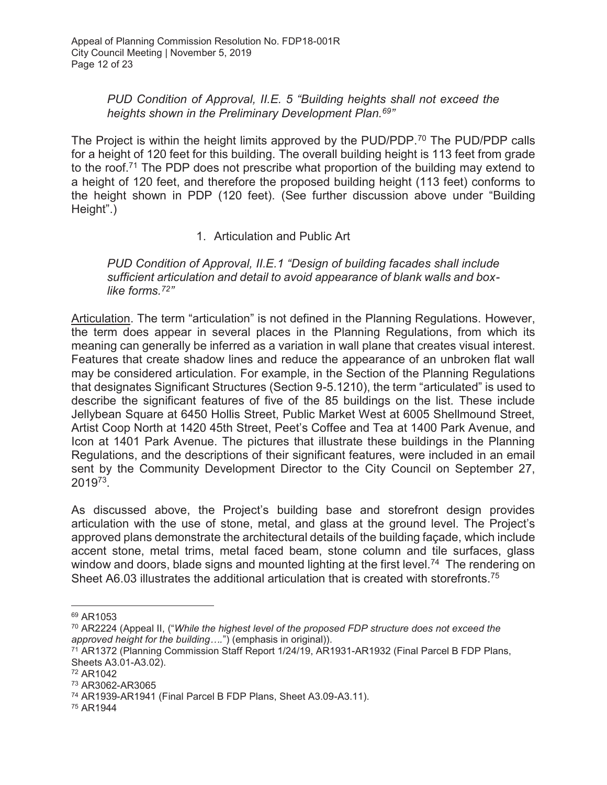## *PUD Condition of Approval, II.E. 5 "Building heights shall not exceed the heights shown in the Preliminary Development Plan.69"*

The Project is within the height limits approved by the PUD/PDP.<sup>70</sup> The PUD/PDP calls for a height of 120 feet for this building. The overall building height is 113 feet from grade to the roof.<sup>71</sup> The PDP does not prescribe what proportion of the building may extend to a height of 120 feet, and therefore the proposed building height (113 feet) conforms to the height shown in PDP (120 feet). (See further discussion above under "Building Height".)

## 1. Articulation and Public Art

*PUD Condition of Approval, II.E.1 "Design of building facades shall include sufficient articulation and detail to avoid appearance of blank walls and boxlike forms.72"*

Articulation. The term "articulation" is not defined in the Planning Regulations. However, the term does appear in several places in the Planning Regulations, from which its meaning can generally be inferred as a variation in wall plane that creates visual interest. Features that create shadow lines and reduce the appearance of an unbroken flat wall may be considered articulation. For example, in the Section of the Planning Regulations that designates Significant Structures (Section 9-5.1210), the term "articulated" is used to describe the significant features of five of the 85 buildings on the list. These include Jellybean Square at 6450 Hollis Street, Public Market West at 6005 Shellmound Street, Artist Coop North at 1420 45th Street, Peet's Coffee and Tea at 1400 Park Avenue, and Icon at 1401 Park Avenue. The pictures that illustrate these buildings in the Planning Regulations, and the descriptions of their significant features, were included in an email sent by the Community Development Director to the City Council on September 27, 201973.

As discussed above, the Project's building base and storefront design provides articulation with the use of stone, metal, and glass at the ground level. The Project's approved plans demonstrate the architectural details of the building façade, which include accent stone, metal trims, metal faced beam, stone column and tile surfaces, glass window and doors, blade signs and mounted lighting at the first level.<sup>74</sup> The rendering on Sheet A6.03 illustrates the additional articulation that is created with storefronts.<sup>75</sup>

<sup>69</sup> AR1053

<sup>70</sup> AR2224 (Appeal II, ("*While the highest level of the proposed FDP structure does not exceed the approved height for the building….*") (emphasis in original)).

<sup>71</sup> AR1372 (Planning Commission Staff Report 1/24/19, AR1931-AR1932 (Final Parcel B FDP Plans, Sheets A3.01-A3.02).

<sup>72</sup> AR1042

<sup>73</sup> AR3062-AR3065

<sup>74</sup> AR1939-AR1941 (Final Parcel B FDP Plans, Sheet A3.09-A3.11).

<sup>75</sup> AR1944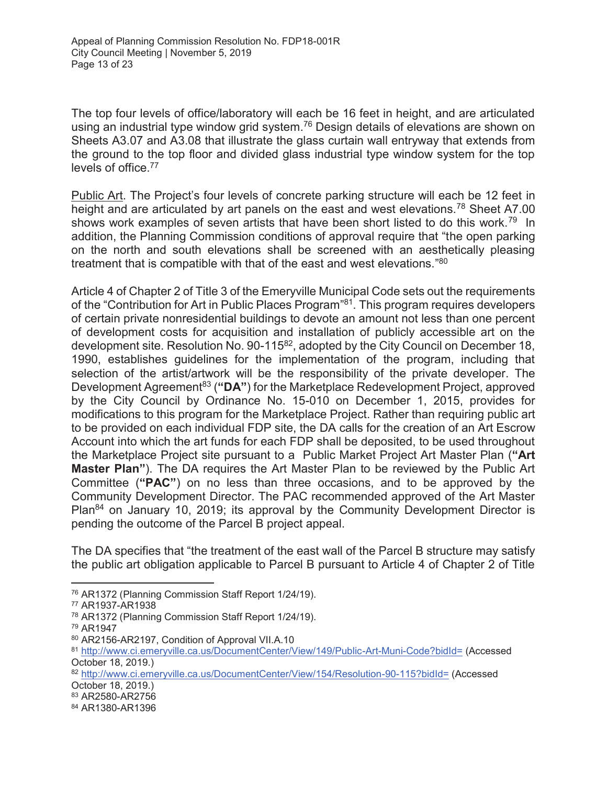The top four levels of office/laboratory will each be 16 feet in height, and are articulated using an industrial type window grid system.<sup>76</sup> Design details of elevations are shown on Sheets A3.07 and A3.08 that illustrate the glass curtain wall entryway that extends from the ground to the top floor and divided glass industrial type window system for the top levels of office.77

Public Art. The Project's four levels of concrete parking structure will each be 12 feet in height and are articulated by art panels on the east and west elevations.<sup>78</sup> Sheet A7.00 shows work examples of seven artists that have been short listed to do this work.<sup>79</sup> In addition, the Planning Commission conditions of approval require that "the open parking on the north and south elevations shall be screened with an aesthetically pleasing treatment that is compatible with that of the east and west elevations." $^{\rm 80}$ 

Article 4 of Chapter 2 of Title 3 of the Emeryville Municipal Code sets out the requirements of the "Contribution for Art in Public Places Program" 81. This program requires developers of certain private nonresidential buildings to devote an amount not less than one percent of development costs for acquisition and installation of publicly accessible art on the development site. Resolution No. 90-115<sup>82</sup>, adopted by the City Council on December 18, 1990, establishes guidelines for the implementation of the program, including that selection of the artist/artwork will be the responsibility of the private developer. The Development Agreement<sup>83</sup> ("DA") for the Marketplace Redevelopment Project, approved by the City Council by Ordinance No. 15-010 on December 1, 2015, provides for modifications to this program for the Marketplace Project. Rather than requiring public art to be provided on each individual FDP site, the DA calls for the creation of an Art Escrow Account into which the art funds for each FDP shall be deposited, to be used throughout the Marketplace Project site pursuant to a Public Market Project Art Master Plan (**"Art Master Plan"**). The DA requires the Art Master Plan to be reviewed by the Public Art Committee (**"PAC"**) on no less than three occasions, and to be approved by the Community Development Director. The PAC recommended approved of the Art Master Plan<sup>84</sup> on January 10, 2019; its approval by the Community Development Director is pending the outcome of the Parcel B project appeal.

The DA specifies that "the treatment of the east wall of the Parcel B structure may satisfy the public art obligation applicable to Parcel B pursuant to Article 4 of Chapter 2 of Title

 $\overline{a}$ 

83 AR2580-AR2756

<sup>76</sup> AR1372 (Planning Commission Staff Report 1/24/19).

<sup>77</sup> AR1937-AR1938

<sup>78</sup> AR1372 (Planning Commission Staff Report 1/24/19).

<sup>79</sup> AR1947

<sup>80</sup> AR2156-AR2197, Condition of Approval VII.A.10

<sup>81</sup> http://www.ci.emeryville.ca.us/DocumentCenter/View/149/Public-Art-Muni-Code?bidId= (Accessed October 18, 2019.)

<sup>82</sup> http://www.ci.emeryville.ca.us/DocumentCenter/View/154/Resolution-90-115?bidId= (Accessed October 18, 2019.)

<sup>84</sup> AR1380-AR1396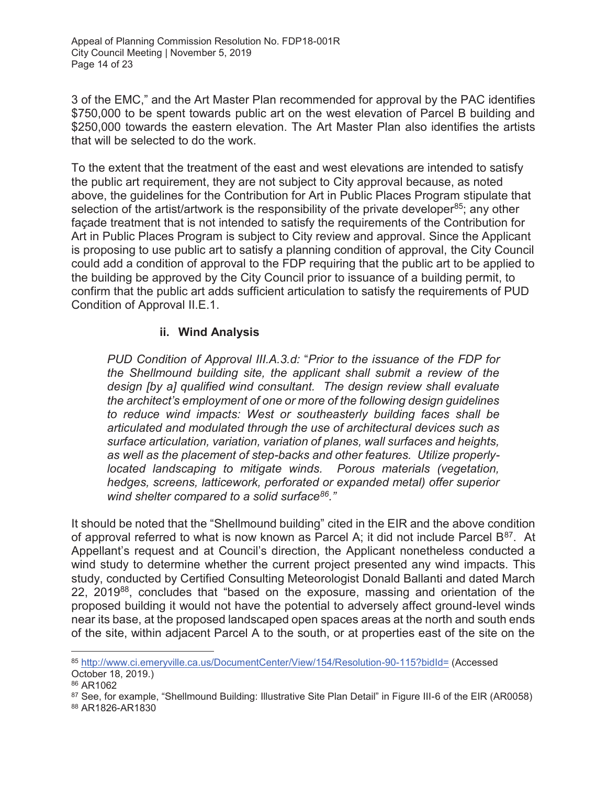3 of the EMC," and the Art Master Plan recommended for approval by the PAC identifies \$750,000 to be spent towards public art on the west elevation of Parcel B building and \$250,000 towards the eastern elevation. The Art Master Plan also identifies the artists that will be selected to do the work.

To the extent that the treatment of the east and west elevations are intended to satisfy the public art requirement, they are not subject to City approval because, as noted above, the guidelines for the Contribution for Art in Public Places Program stipulate that selection of the artist/artwork is the responsibility of the private developer<sup>85</sup>; any other façade treatment that is not intended to satisfy the requirements of the Contribution for Art in Public Places Program is subject to City review and approval. Since the Applicant is proposing to use public art to satisfy a planning condition of approval, the City Council could add a condition of approval to the FDP requiring that the public art to be applied to the building be approved by the City Council prior to issuance of a building permit, to confirm that the public art adds sufficient articulation to satisfy the requirements of PUD Condition of Approval II.E.1.

# **ii. Wind Analysis**

*PUD Condition of Approval III.A.3.d:* "*Prior to the issuance of the FDP for the Shellmound building site, the applicant shall submit a review of the design [by a] qualified wind consultant. The design review shall evaluate the architect's employment of one or more of the following design guidelines to reduce wind impacts: West or southeasterly building faces shall be articulated and modulated through the use of architectural devices such as surface articulation, variation, variation of planes, wall surfaces and heights, as well as the placement of step-backs and other features. Utilize properlylocated landscaping to mitigate winds. Porous materials (vegetation, hedges, screens, latticework, perforated or expanded metal) offer superior wind shelter compared to a solid surface86."* 

It should be noted that the "Shellmound building" cited in the EIR and the above condition of approval referred to what is now known as Parcel A; it did not include Parcel  $B^{87}$ . At Appellant's request and at Council's direction, the Applicant nonetheless conducted a wind study to determine whether the current project presented any wind impacts. This study, conducted by Certified Consulting Meteorologist Donald Ballanti and dated March 22, 201988, concludes that "based on the exposure, massing and orientation of the proposed building it would not have the potential to adversely affect ground-level winds near its base, at the proposed landscaped open spaces areas at the north and south ends of the site, within adjacent Parcel A to the south, or at properties east of the site on the

<sup>85</sup> http://www.ci.emeryville.ca.us/DocumentCenter/View/154/Resolution-90-115?bidId= (Accessed October 18, 2019.)

<sup>86</sup> AR1062

<sup>87</sup> See, for example, "Shellmound Building: Illustrative Site Plan Detail" in Figure III-6 of the EIR (AR0058) 88 AR1826-AR1830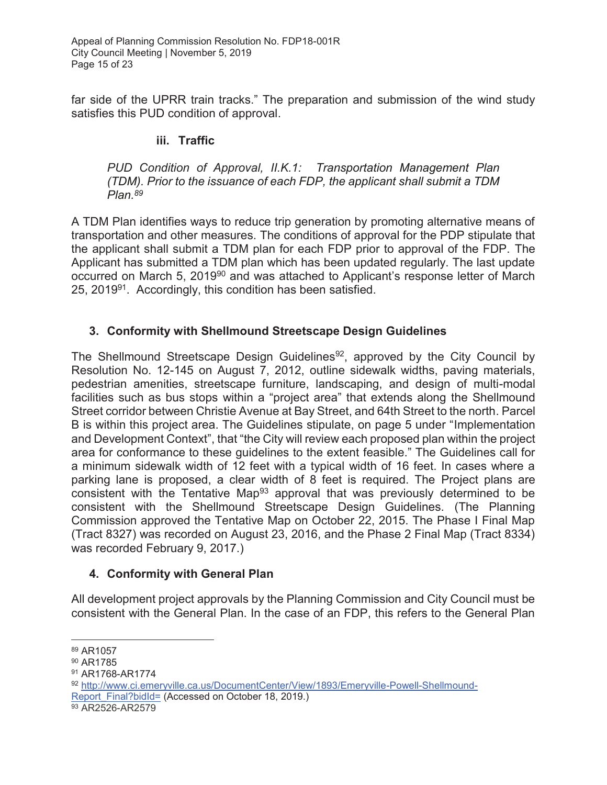far side of the UPRR train tracks." The preparation and submission of the wind study satisfies this PUD condition of approval.

# **iii. Traffic**

*PUD Condition of Approval, II.K.1: Transportation Management Plan (TDM). Prior to the issuance of each FDP, the applicant shall submit a TDM Plan.89* 

A TDM Plan identifies ways to reduce trip generation by promoting alternative means of transportation and other measures. The conditions of approval for the PDP stipulate that the applicant shall submit a TDM plan for each FDP prior to approval of the FDP. The Applicant has submitted a TDM plan which has been updated regularly. The last update occurred on March 5, 2019<sup>90</sup> and was attached to Applicant's response letter of March 25, 201991. Accordingly, this condition has been satisfied.

## **3. Conformity with Shellmound Streetscape Design Guidelines**

The Shellmound Streetscape Design Guidelines<sup>92</sup>, approved by the City Council by Resolution No. 12-145 on August 7, 2012, outline sidewalk widths, paving materials, pedestrian amenities, streetscape furniture, landscaping, and design of multi-modal facilities such as bus stops within a "project area" that extends along the Shellmound Street corridor between Christie Avenue at Bay Street, and 64th Street to the north. Parcel B is within this project area. The Guidelines stipulate, on page 5 under "Implementation and Development Context", that "the City will review each proposed plan within the project area for conformance to these guidelines to the extent feasible." The Guidelines call for a minimum sidewalk width of 12 feet with a typical width of 16 feet. In cases where a parking lane is proposed, a clear width of 8 feet is required. The Project plans are consistent with the Tentative Map<sup>93</sup> approval that was previously determined to be consistent with the Shellmound Streetscape Design Guidelines. (The Planning Commission approved the Tentative Map on October 22, 2015. The Phase I Final Map (Tract 8327) was recorded on August 23, 2016, and the Phase 2 Final Map (Tract 8334) was recorded February 9, 2017.)

#### **4. Conformity with General Plan**

All development project approvals by the Planning Commission and City Council must be consistent with the General Plan. In the case of an FDP, this refers to the General Plan

 $\overline{a}$ 

<sup>92</sup> http://www.ci.emeryville.ca.us/DocumentCenter/View/1893/Emeryville-Powell-Shellmound-Report\_Final?bidId= (Accessed on October 18, 2019.)

<sup>89</sup> AR1057

<sup>90</sup> AR1785

<sup>91</sup> AR1768-AR1774

<sup>93</sup> AR2526-AR2579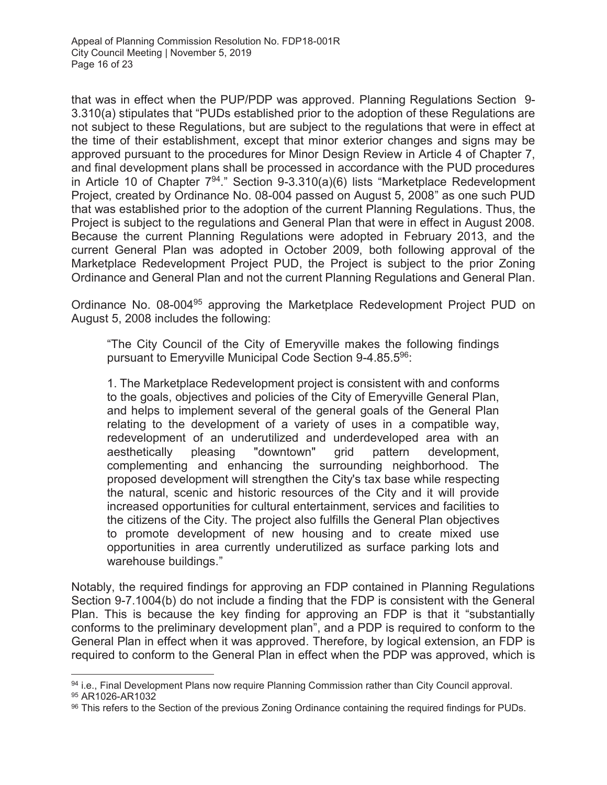that was in effect when the PUP/PDP was approved. Planning Regulations Section 9- 3.310(a) stipulates that "PUDs established prior to the adoption of these Regulations are not subject to these Regulations, but are subject to the regulations that were in effect at the time of their establishment, except that minor exterior changes and signs may be approved pursuant to the procedures for Minor Design Review in Article 4 of Chapter 7, and final development plans shall be processed in accordance with the PUD procedures in Article 10 of Chapter  $7^{94}$ ." Section 9-3.310(a)(6) lists "Marketplace Redevelopment Project, created by Ordinance No. 08-004 passed on August 5, 2008" as one such PUD that was established prior to the adoption of the current Planning Regulations. Thus, the Project is subject to the regulations and General Plan that were in effect in August 2008. Because the current Planning Regulations were adopted in February 2013, and the current General Plan was adopted in October 2009, both following approval of the Marketplace Redevelopment Project PUD, the Project is subject to the prior Zoning Ordinance and General Plan and not the current Planning Regulations and General Plan.

Ordinance No. 08-00495 approving the Marketplace Redevelopment Project PUD on August 5, 2008 includes the following:

"The City Council of the City of Emeryville makes the following findings pursuant to Emeryville Municipal Code Section 9-4.85.5<sup>96</sup>:

1. The Marketplace Redevelopment project is consistent with and conforms to the goals, objectives and policies of the City of Emeryville General Plan, and helps to implement several of the general goals of the General Plan relating to the development of a variety of uses in a compatible way, redevelopment of an underutilized and underdeveloped area with an aesthetically pleasing "downtown" grid pattern development, complementing and enhancing the surrounding neighborhood. The proposed development will strengthen the City's tax base while respecting the natural, scenic and historic resources of the City and it will provide increased opportunities for cultural entertainment, services and facilities to the citizens of the City. The project also fulfills the General Plan objectives to promote development of new housing and to create mixed use opportunities in area currently underutilized as surface parking lots and warehouse buildings."

Notably, the required findings for approving an FDP contained in Planning Regulations Section 9-7.1004(b) do not include a finding that the FDP is consistent with the General Plan. This is because the key finding for approving an FDP is that it "substantially conforms to the preliminary development plan", and a PDP is required to conform to the General Plan in effect when it was approved. Therefore, by logical extension, an FDP is required to conform to the General Plan in effect when the PDP was approved, which is

<sup>94</sup> i.e., Final Development Plans now require Planning Commission rather than City Council approval.

<sup>95</sup> AR1026-AR1032

<sup>96</sup> This refers to the Section of the previous Zoning Ordinance containing the required findings for PUDs.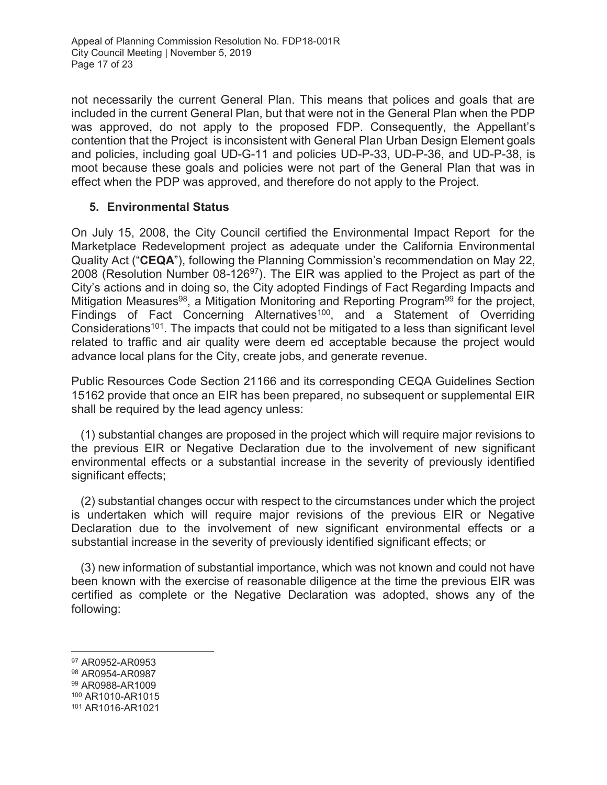not necessarily the current General Plan. This means that polices and goals that are included in the current General Plan, but that were not in the General Plan when the PDP was approved, do not apply to the proposed FDP. Consequently, the Appellant's contention that the Project is inconsistent with General Plan Urban Design Element goals and policies, including goal UD-G-11 and policies UD-P-33, UD-P-36, and UD-P-38, is moot because these goals and policies were not part of the General Plan that was in effect when the PDP was approved, and therefore do not apply to the Project.

## **5. Environmental Status**

On July 15, 2008, the City Council certified the Environmental Impact Report for the Marketplace Redevelopment project as adequate under the California Environmental Quality Act ("**CEQA**"), following the Planning Commission's recommendation on May 22, 2008 (Resolution Number  $08-126^{97}$ ). The EIR was applied to the Project as part of the City's actions and in doing so, the City adopted Findings of Fact Regarding Impacts and Mitigation Measures<sup>98</sup>, a Mitigation Monitoring and Reporting Program<sup>99</sup> for the project, Findings of Fact Concerning Alternatives<sup>100</sup>, and a Statement of Overriding Considerations<sup>101</sup>. The impacts that could not be mitigated to a less than significant level related to traffic and air quality were deem ed acceptable because the project would advance local plans for the City, create jobs, and generate revenue.

Public Resources Code Section 21166 and its corresponding CEQA Guidelines Section 15162 provide that once an EIR has been prepared, no subsequent or supplemental EIR shall be required by the lead agency unless:

(1) substantial changes are proposed in the project which will require major revisions to the previous EIR or Negative Declaration due to the involvement of new significant environmental effects or a substantial increase in the severity of previously identified significant effects;

(2) substantial changes occur with respect to the circumstances under which the project is undertaken which will require major revisions of the previous EIR or Negative Declaration due to the involvement of new significant environmental effects or a substantial increase in the severity of previously identified significant effects; or

(3) new information of substantial importance, which was not known and could not have been known with the exercise of reasonable diligence at the time the previous EIR was certified as complete or the Negative Declaration was adopted, shows any of the following:

- 98 AR0954-AR0987
- 99 AR0988-AR1009
- 100 AR1010-AR1015

<sup>97</sup> AR0952-AR0953

<sup>101</sup> AR1016-AR1021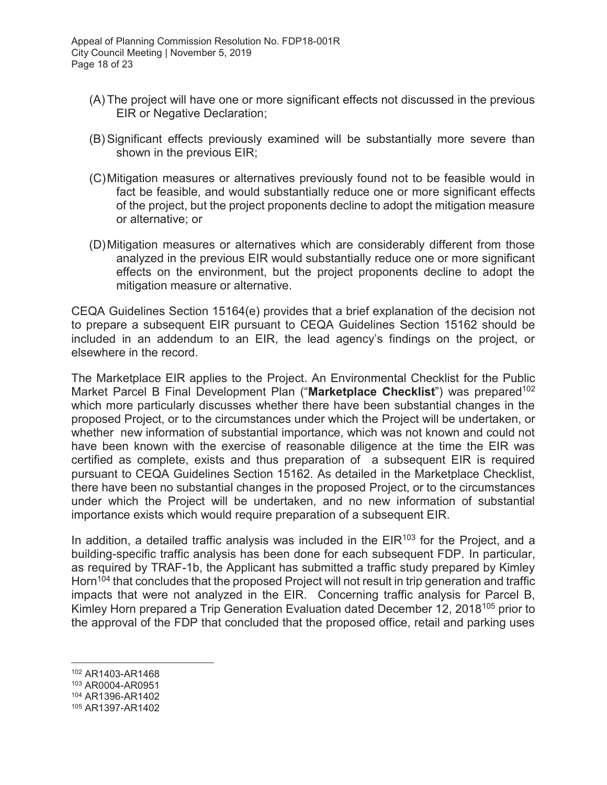- (A) The project will have one or more significant effects not discussed in the previous EIR or Negative Declaration;
- (B) Significant effects previously examined will be substantially more severe than shown in the previous EIR;
- (C) Mitigation measures or alternatives previously found not to be feasible would in fact be feasible, and would substantially reduce one or more significant effects of the project, but the project proponents decline to adopt the mitigation measure or alternative; or
- (D) Mitigation measures or alternatives which are considerably different from those analyzed in the previous EIR would substantially reduce one or more significant effects on the environment, but the project proponents decline to adopt the mitigation measure or alternative.

CEQA Guidelines Section 15164(e) provides that a brief explanation of the decision not to prepare a subsequent EIR pursuant to CEQA Guidelines Section 15162 should be included in an addendum to an EIR, the lead agency's findings on the project, or elsewhere in the record.

The Marketplace EIR applies to the Project. An Environmental Checklist for the Public Market Parcel B Final Development Plan ("Marketplace Checklist") was prepared<sup>102</sup> which more particularly discusses whether there have been substantial changes in the proposed Project, or to the circumstances under which the Project will be undertaken, or whether new information of substantial importance, which was not known and could not have been known with the exercise of reasonable diligence at the time the EIR was certified as complete, exists and thus preparation of a subsequent EIR is required pursuant to CEQA Guidelines Section 15162. As detailed in the Marketplace Checklist, there have been no substantial changes in the proposed Project, or to the circumstances under which the Project will be undertaken, and no new information of substantial importance exists which would require preparation of a subsequent EIR.

In addition, a detailed traffic analysis was included in the  $EIR<sup>103</sup>$  for the Project, and a building-specific traffic analysis has been done for each subsequent FDP. In particular, as required by TRAF-1b, the Applicant has submitted a traffic study prepared by Kimley Horn<sup>104</sup> that concludes that the proposed Project will not result in trip generation and traffic impacts that were not analyzed in the EIR.Concerning traffic analysis for Parcel B, Kimley Horn prepared a Trip Generation Evaluation dated December 12, 2018<sup>105</sup> prior to the approval of the FDP that concluded that the proposed office, retail and parking uses

- 103 AR0004-AR0951
- 104 AR1396-AR1402
- 105 AR1397-AR1402

 $\overline{a}$ 102 AR1403-AR1468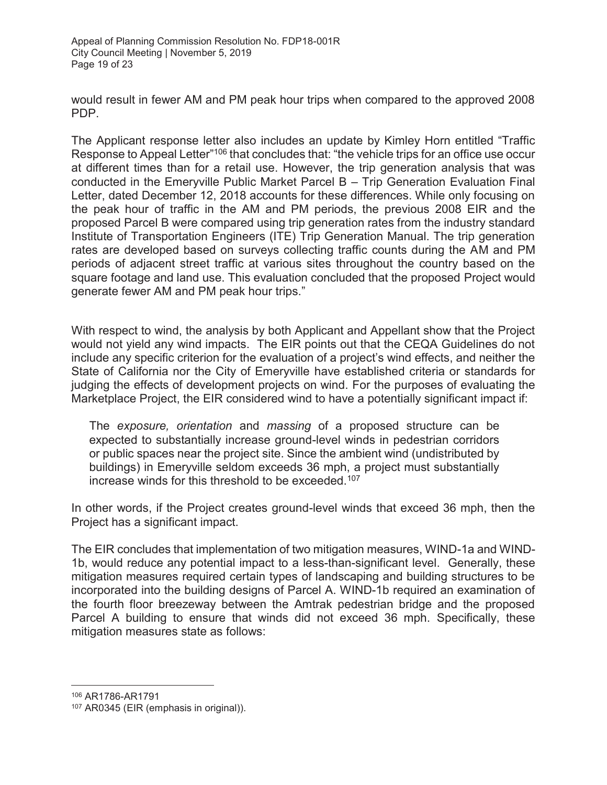would result in fewer AM and PM peak hour trips when compared to the approved 2008 PDP.

The Applicant response letter also includes an update by Kimley Horn entitled "Traffic Response to Appeal Letter<sup>"106</sup> that concludes that: "the vehicle trips for an office use occur at different times than for a retail use. However, the trip generation analysis that was conducted in the Emeryville Public Market Parcel B – Trip Generation Evaluation Final Letter, dated December 12, 2018 accounts for these differences. While only focusing on the peak hour of traffic in the AM and PM periods, the previous 2008 EIR and the proposed Parcel B were compared using trip generation rates from the industry standard Institute of Transportation Engineers (ITE) Trip Generation Manual. The trip generation rates are developed based on surveys collecting traffic counts during the AM and PM periods of adjacent street traffic at various sites throughout the country based on the square footage and land use. This evaluation concluded that the proposed Project would generate fewer AM and PM peak hour trips."

With respect to wind, the analysis by both Applicant and Appellant show that the Project would not yield any wind impacts. The EIR points out that the CEQA Guidelines do not include any specific criterion for the evaluation of a project's wind effects, and neither the State of California nor the City of Emeryville have established criteria or standards for judging the effects of development projects on wind. For the purposes of evaluating the Marketplace Project, the EIR considered wind to have a potentially significant impact if:

The *exposure, orientation* and *massing* of a proposed structure can be expected to substantially increase ground-level winds in pedestrian corridors or public spaces near the project site. Since the ambient wind (undistributed by buildings) in Emeryville seldom exceeds 36 mph, a project must substantially increase winds for this threshold to be exceeded.107

In other words, if the Project creates ground-level winds that exceed 36 mph, then the Project has a significant impact.

The EIR concludes that implementation of two mitigation measures, WIND-1a and WIND-1b, would reduce any potential impact to a less-than-significant level. Generally, these mitigation measures required certain types of landscaping and building structures to be incorporated into the building designs of Parcel A. WIND-1b required an examination of the fourth floor breezeway between the Amtrak pedestrian bridge and the proposed Parcel A building to ensure that winds did not exceed 36 mph. Specifically, these mitigation measures state as follows:

 $\overline{a}$ 106 AR1786-AR1791

<sup>107</sup> AR0345 (EIR (emphasis in original)).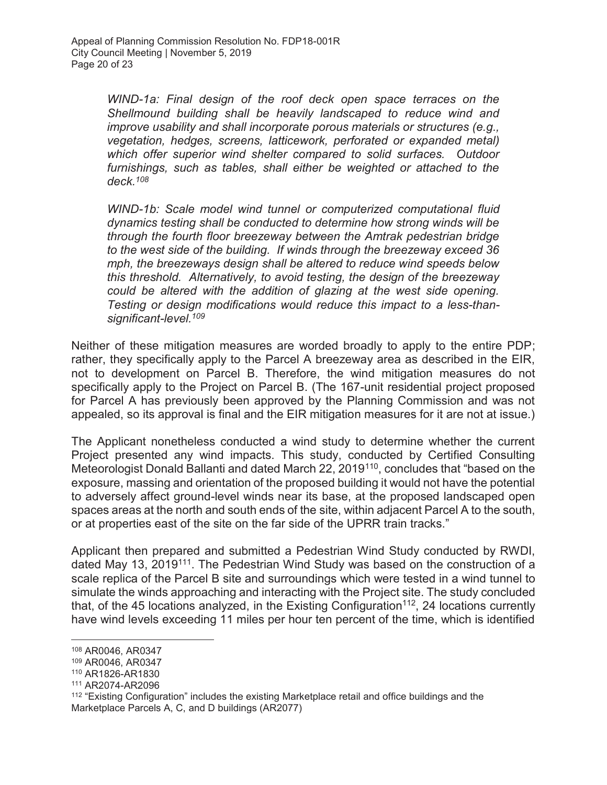*WIND-1a: Final design of the roof deck open space terraces on the Shellmound building shall be heavily landscaped to reduce wind and improve usability and shall incorporate porous materials or structures (e.g., vegetation, hedges, screens, latticework, perforated or expanded metal) which offer superior wind shelter compared to solid surfaces. Outdoor*  furnishings, such as tables, shall either be weighted or attached to the *deck.108*

*WIND-1b: Scale model wind tunnel or computerized computational fluid dynamics testing shall be conducted to determine how strong winds will be through the fourth floor breezeway between the Amtrak pedestrian bridge to the west side of the building. If winds through the breezeway exceed 36 mph, the breezeways design shall be altered to reduce wind speeds below this threshold. Alternatively, to avoid testing, the design of the breezeway could be altered with the addition of glazing at the west side opening. Testing or design modifications would reduce this impact to a less-thansignificant-level.109*

Neither of these mitigation measures are worded broadly to apply to the entire PDP; rather, they specifically apply to the Parcel A breezeway area as described in the EIR, not to development on Parcel B. Therefore, the wind mitigation measures do not specifically apply to the Project on Parcel B. (The 167-unit residential project proposed for Parcel A has previously been approved by the Planning Commission and was not appealed, so its approval is final and the EIR mitigation measures for it are not at issue.)

The Applicant nonetheless conducted a wind study to determine whether the current Project presented any wind impacts. This study, conducted by Certified Consulting Meteorologist Donald Ballanti and dated March 22, 2019<sup>110</sup>, concludes that "based on the exposure, massing and orientation of the proposed building it would not have the potential to adversely affect ground-level winds near its base, at the proposed landscaped open spaces areas at the north and south ends of the site, within adjacent Parcel A to the south, or at properties east of the site on the far side of the UPRR train tracks."

Applicant then prepared and submitted a Pedestrian Wind Study conducted by RWDI, dated May 13, 2019<sup>111</sup>. The Pedestrian Wind Study was based on the construction of a scale replica of the Parcel B site and surroundings which were tested in a wind tunnel to simulate the winds approaching and interacting with the Project site. The study concluded that, of the 45 locations analyzed, in the Existing Configuration<sup>112</sup>, 24 locations currently have wind levels exceeding 11 miles per hour ten percent of the time, which is identified

<sup>108</sup> AR0046, AR0347

<sup>109</sup> AR0046, AR0347

<sup>110</sup> AR1826-AR1830

<sup>111</sup> AR2074-AR2096

<sup>&</sup>lt;sup>112</sup> "Existing Configuration" includes the existing Marketplace retail and office buildings and the Marketplace Parcels A, C, and D buildings (AR2077)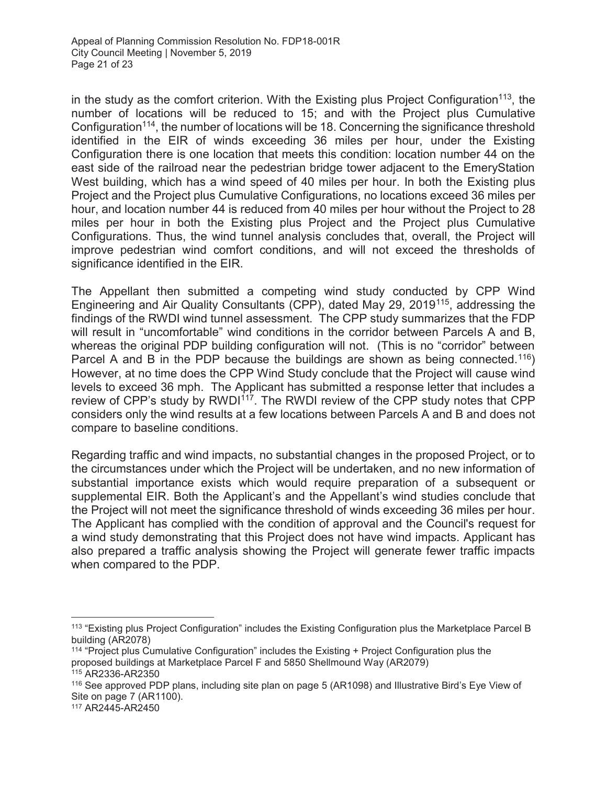in the study as the comfort criterion. With the Existing plus Project Configuration<sup>113</sup>, the number of locations will be reduced to 15; and with the Project plus Cumulative Configuration<sup>114</sup>, the number of locations will be 18. Concerning the significance threshold identified in the EIR of winds exceeding 36 miles per hour, under the Existing Configuration there is one location that meets this condition: location number 44 on the east side of the railroad near the pedestrian bridge tower adjacent to the EmeryStation West building, which has a wind speed of 40 miles per hour. In both the Existing plus Project and the Project plus Cumulative Configurations, no locations exceed 36 miles per hour, and location number 44 is reduced from 40 miles per hour without the Project to 28 miles per hour in both the Existing plus Project and the Project plus Cumulative Configurations. Thus, the wind tunnel analysis concludes that, overall, the Project will improve pedestrian wind comfort conditions, and will not exceed the thresholds of significance identified in the EIR.

The Appellant then submitted a competing wind study conducted by CPP Wind Engineering and Air Quality Consultants (CPP), dated May 29, 2019115, addressing the findings of the RWDI wind tunnel assessment. The CPP study summarizes that the FDP will result in "uncomfortable" wind conditions in the corridor between Parcels A and B, whereas the original PDP building configuration will not. (This is no "corridor" between Parcel A and B in the PDP because the buildings are shown as being connected.<sup>116</sup>) However, at no time does the CPP Wind Study conclude that the Project will cause wind levels to exceed 36 mph. The Applicant has submitted a response letter that includes a review of CPP's study by RWDI<sup>117</sup>. The RWDI review of the CPP study notes that CPP considers only the wind results at a few locations between Parcels A and B and does not compare to baseline conditions.

Regarding traffic and wind impacts, no substantial changes in the proposed Project, or to the circumstances under which the Project will be undertaken, and no new information of substantial importance exists which would require preparation of a subsequent or supplemental EIR. Both the Applicant's and the Appellant's wind studies conclude that the Project will not meet the significance threshold of winds exceeding 36 miles per hour. The Applicant has complied with the condition of approval and the Council's request for a wind study demonstrating that this Project does not have wind impacts. Applicant has also prepared a traffic analysis showing the Project will generate fewer traffic impacts when compared to the PDP.

<sup>113</sup> "Existing plus Project Configuration" includes the Existing Configuration plus the Marketplace Parcel B building (AR2078)

<sup>114</sup> "Project plus Cumulative Configuration" includes the Existing + Project Configuration plus the proposed buildings at Marketplace Parcel F and 5850 Shellmound Way (AR2079) 115 AR2336-AR2350

<sup>116</sup> See approved PDP plans, including site plan on page 5 (AR1098) and Illustrative Bird's Eye View of

Site on page 7 (AR1100).

<sup>117</sup> AR2445-AR2450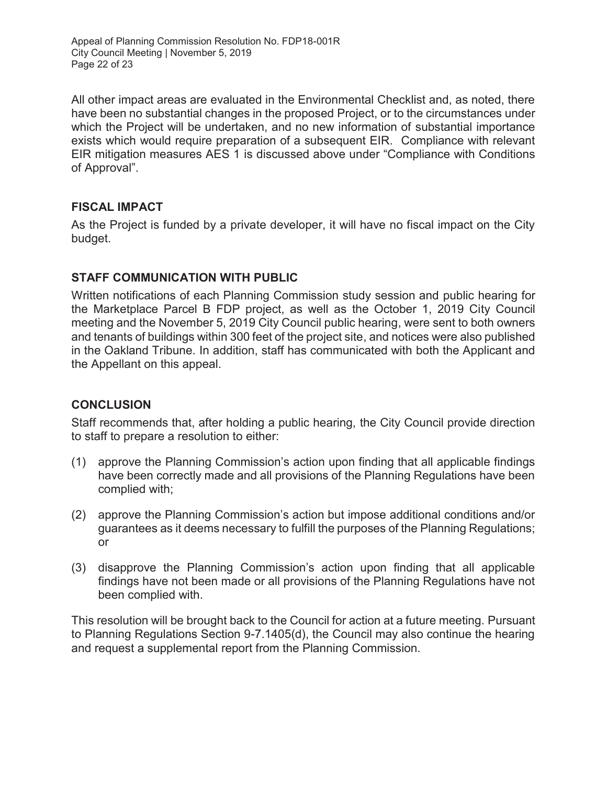Appeal of Planning Commission Resolution No. FDP18-001R City Council Meeting | November 5, 2019 Page 22 of 23

All other impact areas are evaluated in the Environmental Checklist and, as noted, there have been no substantial changes in the proposed Project, or to the circumstances under which the Project will be undertaken, and no new information of substantial importance exists which would require preparation of a subsequent EIR. Compliance with relevant EIR mitigation measures AES 1 is discussed above under "Compliance with Conditions of Approval".

## **FISCAL IMPACT**

As the Project is funded by a private developer, it will have no fiscal impact on the City budget.

## **STAFF COMMUNICATION WITH PUBLIC**

Written notifications of each Planning Commission study session and public hearing for the Marketplace Parcel B FDP project, as well as the October 1, 2019 City Council meeting and the November 5, 2019 City Council public hearing, were sent to both owners and tenants of buildings within 300 feet of the project site, and notices were also published in the Oakland Tribune. In addition, staff has communicated with both the Applicant and the Appellant on this appeal.

#### **CONCLUSION**

Staff recommends that, after holding a public hearing, the City Council provide direction to staff to prepare a resolution to either:

- (1) approve the Planning Commission's action upon finding that all applicable findings have been correctly made and all provisions of the Planning Regulations have been complied with;
- (2) approve the Planning Commission's action but impose additional conditions and/or guarantees as it deems necessary to fulfill the purposes of the Planning Regulations; or
- (3) disapprove the Planning Commission's action upon finding that all applicable findings have not been made or all provisions of the Planning Regulations have not been complied with.

This resolution will be brought back to the Council for action at a future meeting. Pursuant to Planning Regulations Section 9-7.1405(d), the Council may also continue the hearing and request a supplemental report from the Planning Commission.